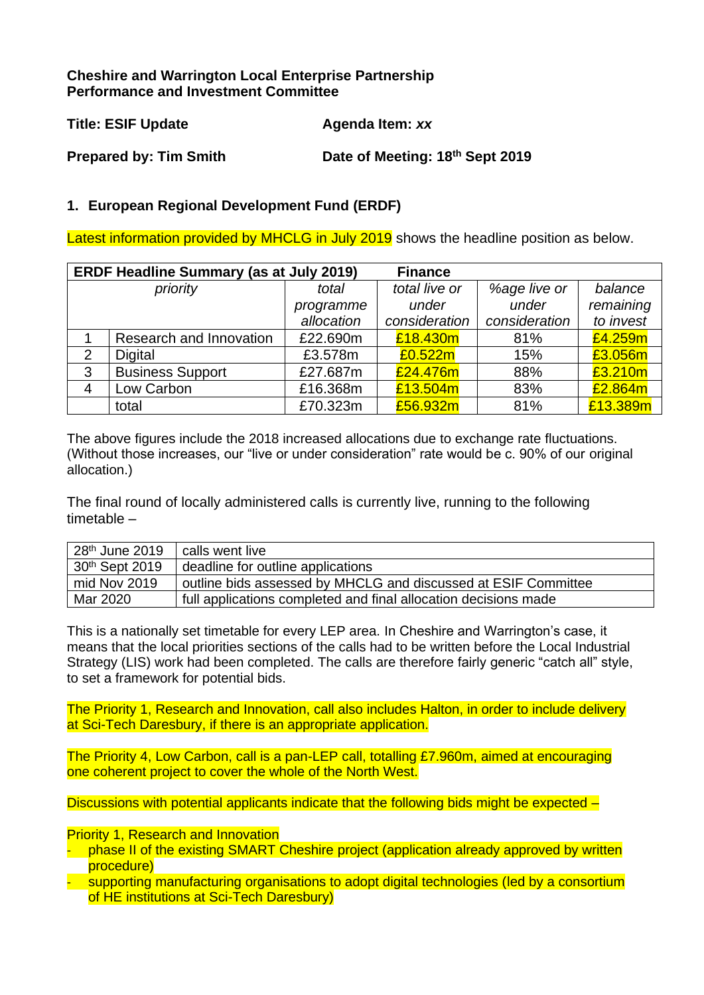## **Cheshire and Warrington Local Enterprise Partnership Performance and Investment Committee**

| <b>Title: ESIF Update</b>     | Agenda Item: xx                 |
|-------------------------------|---------------------------------|
| <b>Prepared by: Tim Smith</b> | Date of Meeting: 18th Sept 2019 |

## **1. European Regional Development Fund (ERDF)**

Latest information provided by MHCLG in July 2019 shows the headline position as below.

|                | <b>ERDF Headline Summary (as at July 2019)</b><br><b>Finance</b> |            |               |               |           |  |  |  |  |
|----------------|------------------------------------------------------------------|------------|---------------|---------------|-----------|--|--|--|--|
| priority       |                                                                  | total      | total live or | %age live or  | balance   |  |  |  |  |
|                |                                                                  | programme  | under         | under         | remaining |  |  |  |  |
|                |                                                                  | allocation | consideration | consideration | to invest |  |  |  |  |
|                | Research and Innovation                                          | £22.690m   | £18.430m      | 81%           | £4.259m   |  |  |  |  |
| $\overline{2}$ | Digital                                                          | £3.578m    | £0.522m       | 15%           | £3.056m   |  |  |  |  |
| 3              | <b>Business Support</b>                                          | £27.687m   | £24.476m      | 88%           | £3.210m   |  |  |  |  |
| 4              | Low Carbon                                                       | £16.368m   | £13.504m      | 83%           | £2.864m   |  |  |  |  |
|                | total                                                            | £70.323m   | £56.932m      | 81%           | £13.389m  |  |  |  |  |

The above figures include the 2018 increased allocations due to exchange rate fluctuations. (Without those increases, our "live or under consideration" rate would be c. 90% of our original allocation.)

The final round of locally administered calls is currently live, running to the following timetable –

| 28 <sup>th</sup> June 2019 | calls went live                                                 |
|----------------------------|-----------------------------------------------------------------|
| 30th Sept 2019             | deadline for outline applications                               |
| mid Nov 2019               | outline bids assessed by MHCLG and discussed at ESIF Committee  |
| Mar 2020                   | full applications completed and final allocation decisions made |

This is a nationally set timetable for every LEP area. In Cheshire and Warrington's case, it means that the local priorities sections of the calls had to be written before the Local Industrial Strategy (LIS) work had been completed. The calls are therefore fairly generic "catch all" style, to set a framework for potential bids.

The Priority 1, Research and Innovation, call also includes Halton, in order to include delivery at Sci-Tech Daresbury, if there is an appropriate application.

The Priority 4, Low Carbon, call is a pan-LEP call, totalling £7.960m, aimed at encouraging one coherent project to cover the whole of the North West.

Discussions with potential applicants indicate that the following bids might be expected –

**Priority 1, Research and Innovation** 

- phase II of the existing SMART Cheshire project (application already approved by written procedure)
- supporting manufacturing organisations to adopt digital technologies (led by a consortium of HE institutions at Sci-Tech Daresbury)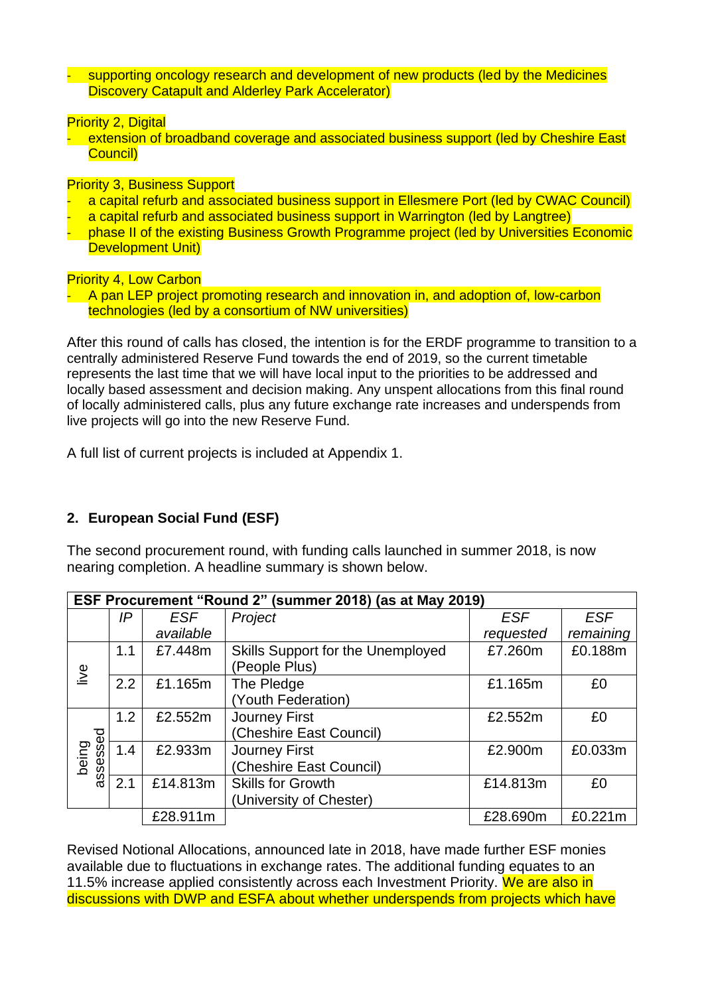- supporting oncology research and development of new products (led by the Medicines Discovery Catapult and Alderley Park Accelerator)

**Priority 2, Digital** 

- extension of broadband coverage and associated business support (led by Cheshire East Council)

Priority 3, Business Support

- a capital refurb and associated business support in Ellesmere Port (led by CWAC Council)
- a capital refurb and associated business support in Warrington (led by Langtree)
- phase II of the existing Business Growth Programme project (led by Universities Economic Development Unit)

Priority 4, Low Carbon

- A pan LEP project promoting research and innovation in, and adoption of, low-carbon technologies (led by a consortium of NW universities)

After this round of calls has closed, the intention is for the ERDF programme to transition to a centrally administered Reserve Fund towards the end of 2019, so the current timetable represents the last time that we will have local input to the priorities to be addressed and locally based assessment and decision making. Any unspent allocations from this final round of locally administered calls, plus any future exchange rate increases and underspends from live projects will go into the new Reserve Fund.

A full list of current projects is included at Appendix 1.

# **2. European Social Fund (ESF)**

The second procurement round, with funding calls launched in summer 2018, is now nearing completion. A headline summary is shown below.

|                   | ESF Procurement "Round 2" (summer 2018) (as at May 2019) |            |                                                     |            |            |  |  |  |  |
|-------------------|----------------------------------------------------------|------------|-----------------------------------------------------|------------|------------|--|--|--|--|
|                   | IP                                                       | <b>ESF</b> | Project                                             | <b>ESF</b> | <b>ESF</b> |  |  |  |  |
|                   |                                                          | available  |                                                     | requested  | remaining  |  |  |  |  |
| live              | 1.1                                                      | £7.448m    | Skills Support for the Unemployed<br>(People Plus)  | £7.260m    | £0.188m    |  |  |  |  |
|                   | 2.2                                                      | £1.165m    | The Pledge<br>(Youth Federation)                    | £1.165m    | £0         |  |  |  |  |
|                   | 1.2                                                      | £2.552m    | <b>Journey First</b><br>(Cheshire East Council)     | £2.552m    | £0         |  |  |  |  |
| assessed<br>being | 1.4                                                      | £2.933m    | Journey First<br>(Cheshire East Council)            | £2.900m    | £0.033m    |  |  |  |  |
|                   | 2.1                                                      | £14.813m   | <b>Skills for Growth</b><br>(University of Chester) | £14.813m   | £0         |  |  |  |  |
|                   |                                                          | £28.911m   |                                                     | £28.690m   | £0.221m    |  |  |  |  |

Revised Notional Allocations, announced late in 2018, have made further ESF monies available due to fluctuations in exchange rates. The additional funding equates to an 11.5% increase applied consistently across each Investment Priority. We are also in discussions with DWP and ESFA about whether underspends from projects which have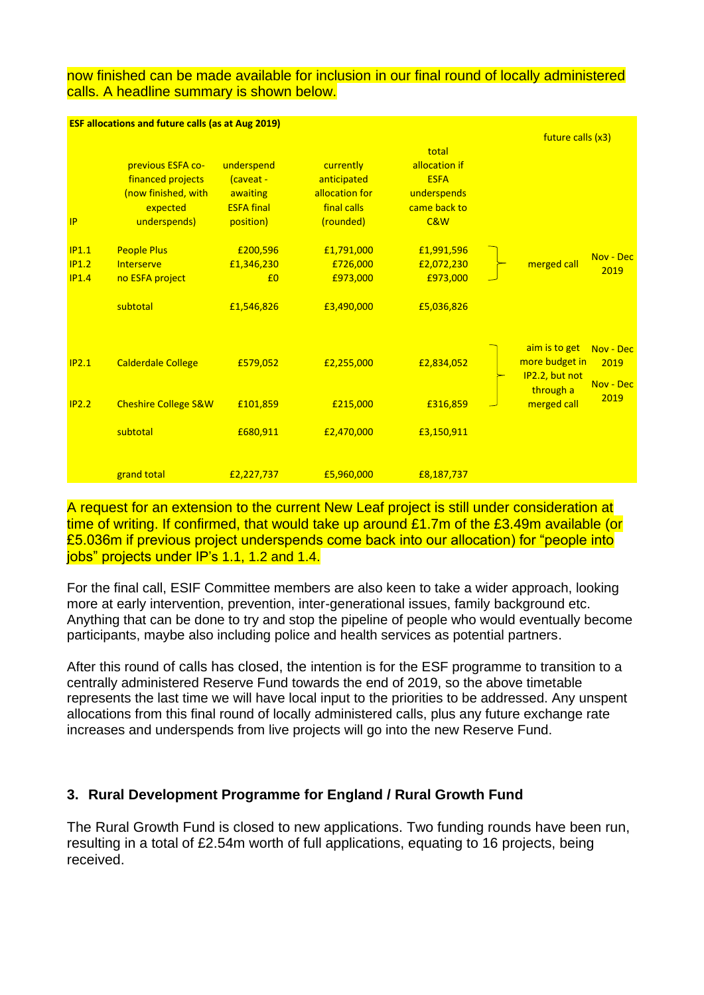#### now finished can be made available for inclusion in our final round of locally administered calls. A headline summary is shown below.

|       | <b>ESF allocations and future calls (as at Aug 2019)</b> |                   |                |               |                                  |                   |
|-------|----------------------------------------------------------|-------------------|----------------|---------------|----------------------------------|-------------------|
|       |                                                          |                   |                |               | future calls (x3)                |                   |
|       |                                                          |                   |                | total         |                                  |                   |
|       | previous ESFA co-                                        | underspend        | currently      | allocation if |                                  |                   |
|       | financed projects                                        | (caveat -         | anticipated    | <b>ESFA</b>   |                                  |                   |
|       | (now finished, with                                      | awaiting          | allocation for | underspends   |                                  |                   |
|       | expected                                                 | <b>ESFA final</b> | final calls    | came back to  |                                  |                   |
| IP    | underspends)                                             | position)         | (rounded)      | C&W           |                                  |                   |
| IP1.1 | <b>People Plus</b>                                       | £200,596          | £1,791,000     | £1,991,596    |                                  | Nov - Dec         |
| IP1.2 | Interserve                                               | £1,346,230        | £726,000       | £2,072,230    | merged call                      | 2019              |
| IP1.4 | no ESFA project                                          | £ <sub>0</sub>    | £973,000       | £973,000      |                                  |                   |
|       | subtotal                                                 | £1,546,826        | £3,490,000     | £5,036,826    |                                  |                   |
|       |                                                          |                   |                |               | aim is to get                    | Nov - Dec         |
| IP2.1 | <b>Calderdale College</b>                                | £579,052          | £2,255,000     | £2,834,052    | more budget in<br>IP2.2, but not | 2019<br>Nov - Dec |
| IP2.2 | <b>Cheshire College S&amp;W</b>                          | £101,859          | £215,000       | £316,859      | through a<br>merged call         | 2019              |
|       | subtotal                                                 | £680,911          | £2,470,000     | £3,150,911    |                                  |                   |
|       | grand total                                              | £2,227,737        | £5,960,000     | £8,187,737    |                                  |                   |

A request for an extension to the current New Leaf project is still under consideration at time of writing. If confirmed, that would take up around £1.7m of the £3.49m available (or £5.036m if previous project underspends come back into our allocation) for "people into jobs" projects under IP's 1.1, 1.2 and 1.4.

For the final call, ESIF Committee members are also keen to take a wider approach, looking more at early intervention, prevention, inter-generational issues, family background etc. Anything that can be done to try and stop the pipeline of people who would eventually become participants, maybe also including police and health services as potential partners.

After this round of calls has closed, the intention is for the ESF programme to transition to a centrally administered Reserve Fund towards the end of 2019, so the above timetable represents the last time we will have local input to the priorities to be addressed. Any unspent allocations from this final round of locally administered calls, plus any future exchange rate increases and underspends from live projects will go into the new Reserve Fund.

## **3. Rural Development Programme for England / Rural Growth Fund**

The Rural Growth Fund is closed to new applications. Two funding rounds have been run, resulting in a total of £2.54m worth of full applications, equating to 16 projects, being received.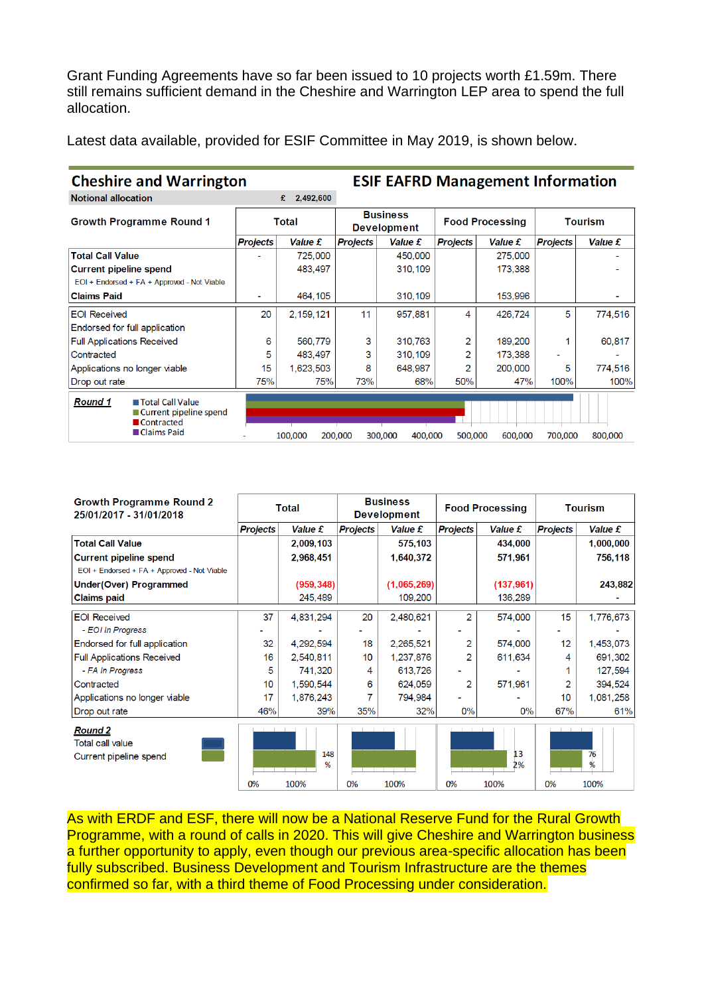Grant Funding Agreements have so far been issued to 10 projects worth £1.59m. There still remains sufficient demand in the Cheshire and Warrington LEP area to spend the full allocation.

Latest data available, provided for ESIF Committee in May 2019, is shown below.

| <b>Cheshire and Warrington</b>                                                               |                 |                |                                       | <b>ESIF EAFRD Management Information</b> |                        |                |                 |         |
|----------------------------------------------------------------------------------------------|-----------------|----------------|---------------------------------------|------------------------------------------|------------------------|----------------|-----------------|---------|
| <b>Notional allocation</b>                                                                   |                 | 2,492,600<br>£ |                                       |                                          |                        |                |                 |         |
| <b>Growth Programme Round 1</b>                                                              | <b>Total</b>    |                | <b>Business</b><br><b>Development</b> |                                          | <b>Food Processing</b> |                | Tourism         |         |
|                                                                                              | <b>Projects</b> | Value £        | <b>Projects</b>                       | Value £                                  | <b>Projects</b>        | <b>Value £</b> | <b>Projects</b> | Value £ |
| <b>Total Call Value</b>                                                                      |                 | 725,000        |                                       | 450,000                                  |                        | 275,000        |                 |         |
| <b>Current pipeline spend</b>                                                                |                 | 483,497        |                                       | 310,109                                  |                        | 173,388        |                 |         |
| EOI + Endorsed + FA + Approved - Not Viable                                                  |                 |                |                                       |                                          |                        |                |                 |         |
| <b>Claims Paid</b>                                                                           |                 | 464,105        |                                       | 310,109                                  |                        | 153,996        |                 |         |
| <b>EOI Received</b>                                                                          | 20              | 2,159,121      | 11                                    | 957.881                                  | 4                      | 426,724        | 5               | 774.516 |
| Endorsed for full application                                                                |                 |                |                                       |                                          |                        |                |                 |         |
| <b>Full Applications Received</b>                                                            | 6               | 560,779        | 3                                     | 310,763                                  | 2                      | 189,200        |                 | 60,817  |
| Contracted                                                                                   | 5               | 483.497        | 3                                     | 310,109                                  | 2                      | 173,388        | -               |         |
| Applications no longer viable                                                                | 15              | 1,623,503      | 8                                     | 648.987                                  | 2                      | 200,000        | 5               | 774,516 |
| Drop out rate                                                                                | 75%             | 75%            | 73%                                   | 68%                                      | 50%                    | 47%            | 100%            | 100%    |
| <b>Round 1</b><br><b>■ Total Call Value</b><br>■ Current pipeline spend<br><b>Contracted</b> |                 |                |                                       |                                          |                        |                |                 |         |
| <b>■ Claims Paid</b>                                                                         |                 | 100,000        | 200,000                               | 300,000<br>400,000                       | 500,000                | 600,000        | 700,000         | 800,000 |

| <b>Growth Programme Round 2</b><br>25/01/2017 - 31/01/2018          | <b>Total</b>    |                  | <b>Business</b><br><b>Development</b>   |                | <b>Food Processing</b>   |                  | <b>Tourism</b>                                    |                 |
|---------------------------------------------------------------------|-----------------|------------------|-----------------------------------------|----------------|--------------------------|------------------|---------------------------------------------------|-----------------|
|                                                                     | <b>Projects</b> | <b>Value £</b>   | <b>Projects</b>                         | <b>Value £</b> | <b>Projects</b>          | Value £          | <b>Projects</b>                                   | Value £         |
| <b>Total Call Value</b>                                             |                 | 2,009,103        |                                         | 575,103        |                          | 434,000          |                                                   | 1,000,000       |
| <b>Current pipeline spend</b>                                       |                 | 2,968,451        |                                         | 1,640,372      |                          | 571,961          |                                                   | 756,118         |
| EOI + Endorsed + FA + Approved - Not Viable                         |                 |                  |                                         |                |                          |                  |                                                   |                 |
| <b>Under(Over) Programmed</b>                                       |                 | (959, 348)       |                                         | (1,065,269)    |                          | (137, 961)       |                                                   | 243,882         |
| <b>Claims paid</b>                                                  |                 | 245,489          |                                         | 109,200        |                          | 136,289          |                                                   |                 |
| <b>EOI Received</b>                                                 | 37              | 4,831,294        | 20                                      | 2,480,621      | 2                        | 574,000          | 15                                                | 1,776,673       |
| - EOI In Progress                                                   |                 |                  |                                         |                |                          |                  |                                                   |                 |
| Endorsed for full application                                       | 32              | 4,292,594        | 18                                      | 2,265,521      | 2                        | 574,000          | 12                                                | 1,453,073       |
| <b>Full Applications Received</b>                                   | 16              | 2,540,811        | 10                                      | 1,237,876      | 2                        | 611,634          | 4                                                 | 691,302         |
| - FA In Progress                                                    | 5               | 741,320          | 4                                       | 613,726        |                          |                  |                                                   | 127,594         |
| Contracted                                                          | 10 <sup>1</sup> | 1,590,544        | 6                                       | 624,059        | 2                        | 571,961          |                                                   | 394,524         |
| Applications no longer viable                                       | 17              | 1,876,243        |                                         | 794,984        |                          |                  | 10                                                | 1,081,258       |
| Drop out rate                                                       | 46%             | 39%              | 35%                                     | 32%            | $0\%$                    | $0\%$            | 67%                                               | 61%             |
| <b>Round 2</b><br><b>Total call value</b><br>Current pipeline spend | 0%              | 148<br>%<br>100% | <b>Contract Contract Contract</b><br>0% | 100%           | and the control of<br>0% | 13<br>2%<br>100% | <b>The Contract of Contract of Contract</b><br>0% | 76<br>%<br>100% |

As with ERDF and ESF, there will now be a National Reserve Fund for the Rural Growth Programme, with a round of calls in 2020. This will give Cheshire and Warrington business a further opportunity to apply, even though our previous area-specific allocation has been fully subscribed. Business Development and Tourism Infrastructure are the themes confirmed so far, with a third theme of Food Processing under consideration.